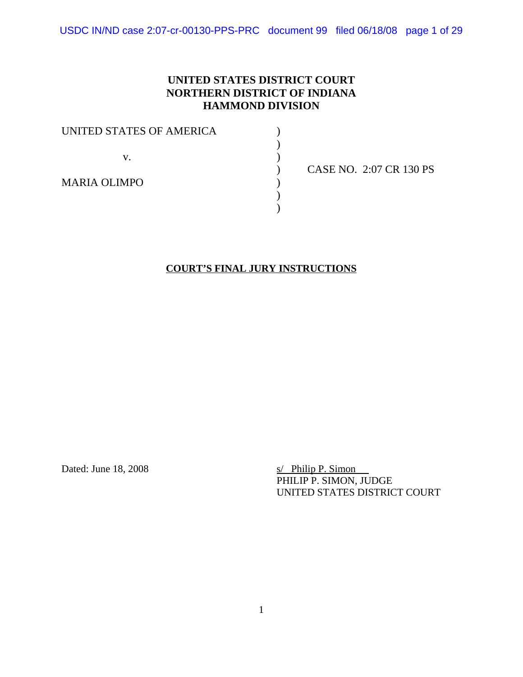USDC IN/ND case 2:07-cr-00130-PPS-PRC document 99 filed 06/18/08 page 1 of 29

# **UNITED STATES DISTRICT COURT NORTHERN DISTRICT OF INDIANA HAMMOND DIVISION**

| UNITED STATES OF AMERICA |             |
|--------------------------|-------------|
| V.                       |             |
|                          | <b>CASE</b> |
| <b>MARIA OLIMPO</b>      |             |
|                          |             |

) CASE NO. 2:07 CR 130 PS

### **COURT'S FINAL JURY INSTRUCTIONS**

Dated: June 18, 2008 s/ Philip P. Simon PHILIP P. SIMON, JUDGE UNITED STATES DISTRICT COURT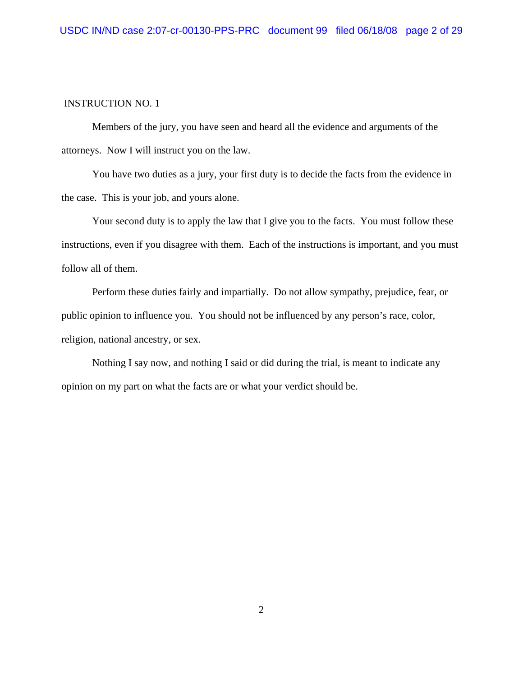Members of the jury, you have seen and heard all the evidence and arguments of the attorneys. Now I will instruct you on the law.

You have two duties as a jury, your first duty is to decide the facts from the evidence in the case. This is your job, and yours alone.

Your second duty is to apply the law that I give you to the facts. You must follow these instructions, even if you disagree with them. Each of the instructions is important, and you must follow all of them.

Perform these duties fairly and impartially. Do not allow sympathy, prejudice, fear, or public opinion to influence you. You should not be influenced by any person's race, color, religion, national ancestry, or sex.

Nothing I say now, and nothing I said or did during the trial, is meant to indicate any opinion on my part on what the facts are or what your verdict should be.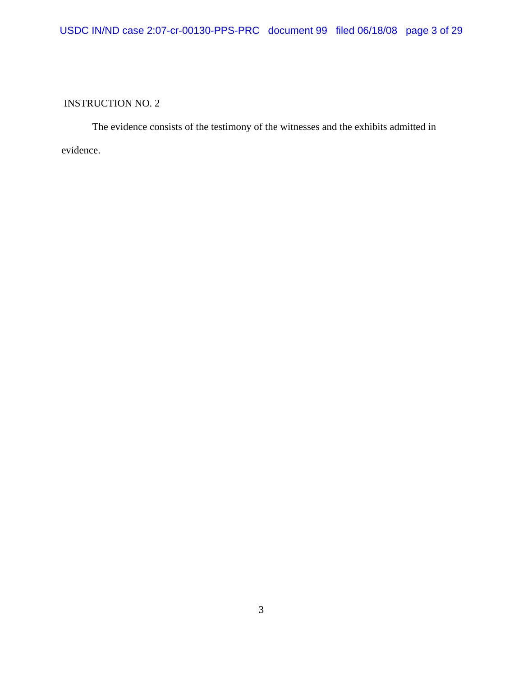The evidence consists of the testimony of the witnesses and the exhibits admitted in evidence.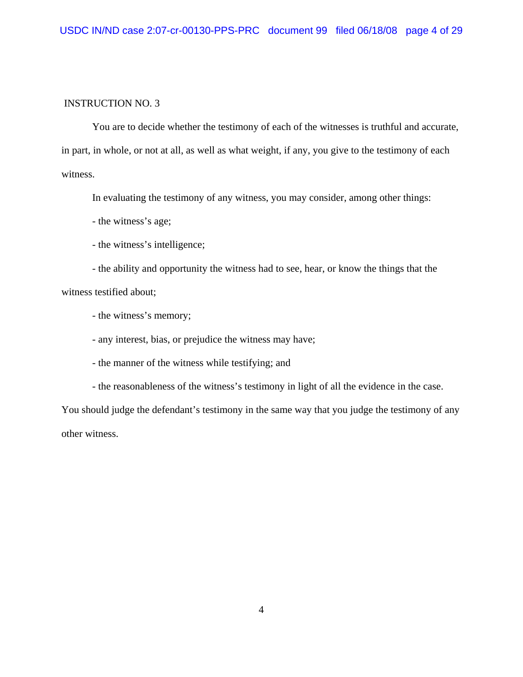You are to decide whether the testimony of each of the witnesses is truthful and accurate, in part, in whole, or not at all, as well as what weight, if any, you give to the testimony of each witness.

In evaluating the testimony of any witness, you may consider, among other things:

- the witness's age;

- the witness's intelligence;

- the ability and opportunity the witness had to see, hear, or know the things that the witness testified about;

- the witness's memory;

- any interest, bias, or prejudice the witness may have;

- the manner of the witness while testifying; and

- the reasonableness of the witness's testimony in light of all the evidence in the case.

You should judge the defendant's testimony in the same way that you judge the testimony of any other witness.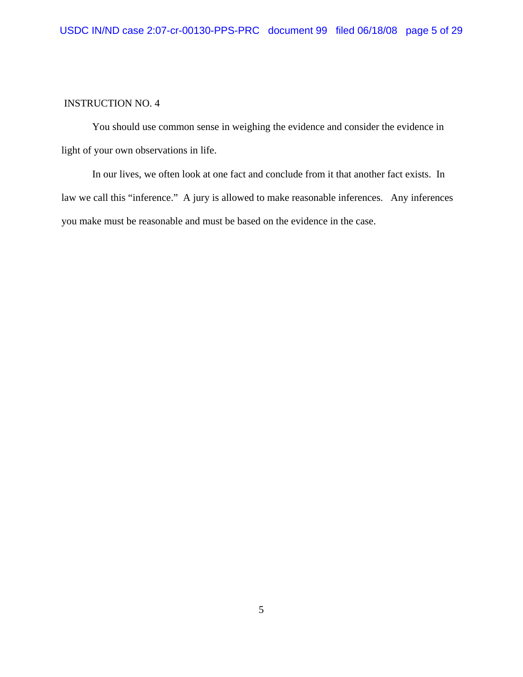You should use common sense in weighing the evidence and consider the evidence in light of your own observations in life.

In our lives, we often look at one fact and conclude from it that another fact exists. In law we call this "inference." A jury is allowed to make reasonable inferences. Any inferences you make must be reasonable and must be based on the evidence in the case.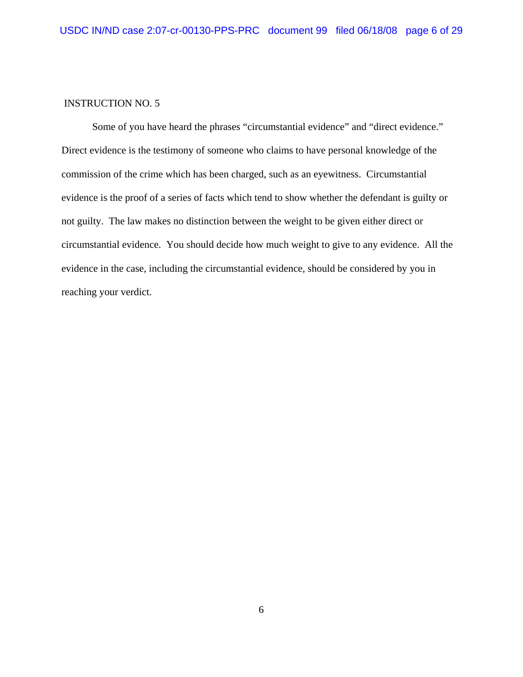Some of you have heard the phrases "circumstantial evidence" and "direct evidence." Direct evidence is the testimony of someone who claims to have personal knowledge of the commission of the crime which has been charged, such as an eyewitness. Circumstantial evidence is the proof of a series of facts which tend to show whether the defendant is guilty or not guilty. The law makes no distinction between the weight to be given either direct or circumstantial evidence. You should decide how much weight to give to any evidence. All the evidence in the case, including the circumstantial evidence, should be considered by you in reaching your verdict.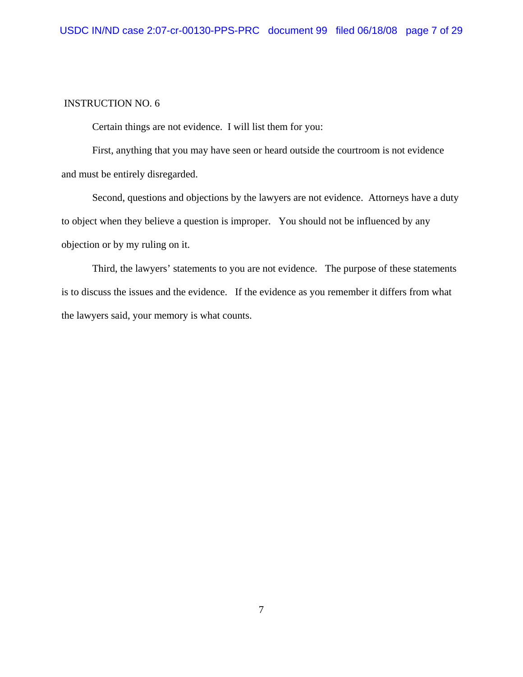Certain things are not evidence. I will list them for you:

First, anything that you may have seen or heard outside the courtroom is not evidence and must be entirely disregarded.

Second, questions and objections by the lawyers are not evidence. Attorneys have a duty to object when they believe a question is improper. You should not be influenced by any objection or by my ruling on it.

Third, the lawyers' statements to you are not evidence. The purpose of these statements is to discuss the issues and the evidence. If the evidence as you remember it differs from what the lawyers said, your memory is what counts.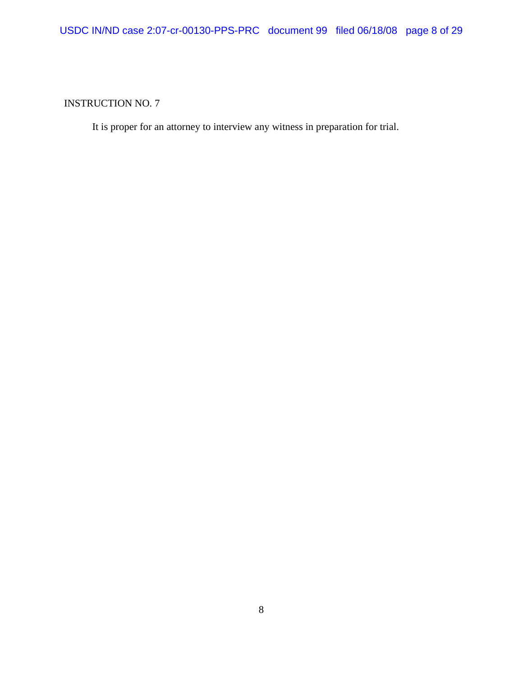It is proper for an attorney to interview any witness in preparation for trial.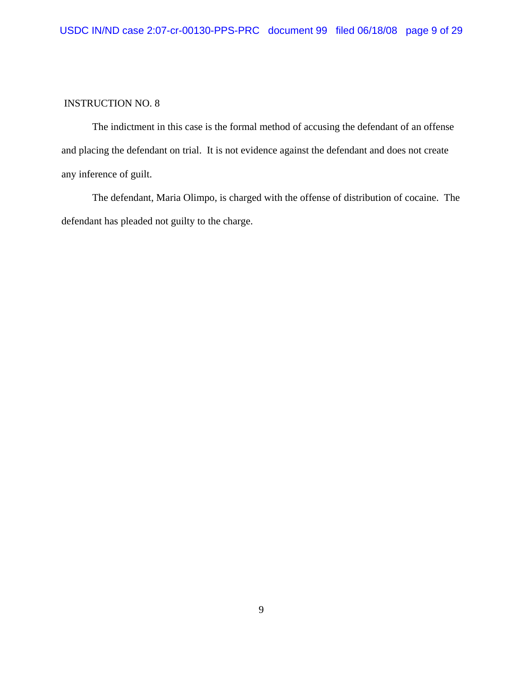The indictment in this case is the formal method of accusing the defendant of an offense and placing the defendant on trial. It is not evidence against the defendant and does not create any inference of guilt.

The defendant, Maria Olimpo, is charged with the offense of distribution of cocaine. The defendant has pleaded not guilty to the charge.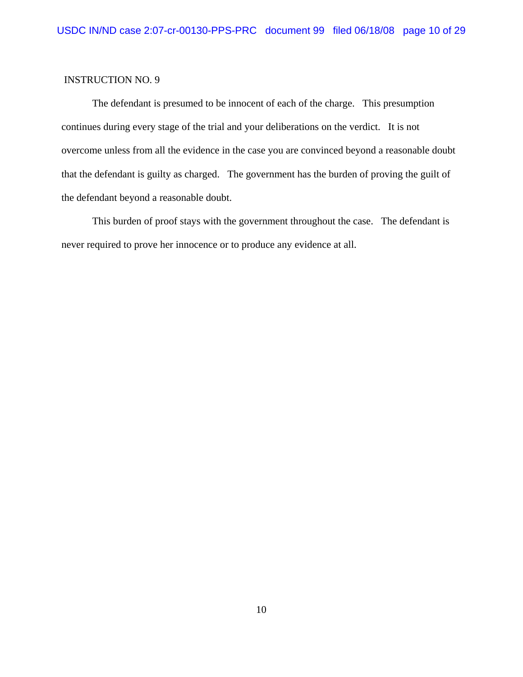The defendant is presumed to be innocent of each of the charge. This presumption continues during every stage of the trial and your deliberations on the verdict. It is not overcome unless from all the evidence in the case you are convinced beyond a reasonable doubt that the defendant is guilty as charged. The government has the burden of proving the guilt of the defendant beyond a reasonable doubt.

This burden of proof stays with the government throughout the case. The defendant is never required to prove her innocence or to produce any evidence at all.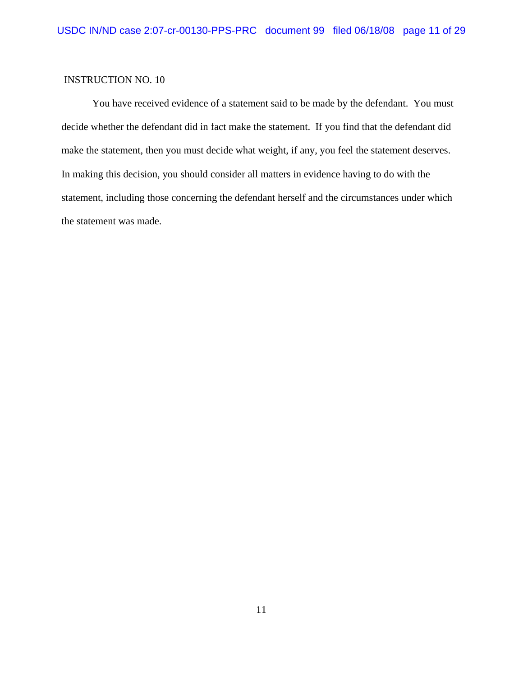You have received evidence of a statement said to be made by the defendant. You must decide whether the defendant did in fact make the statement. If you find that the defendant did make the statement, then you must decide what weight, if any, you feel the statement deserves. In making this decision, you should consider all matters in evidence having to do with the statement, including those concerning the defendant herself and the circumstances under which the statement was made.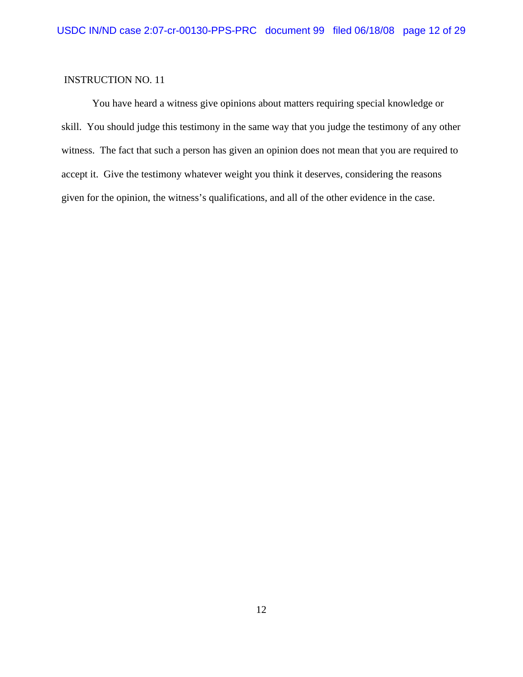You have heard a witness give opinions about matters requiring special knowledge or skill. You should judge this testimony in the same way that you judge the testimony of any other witness. The fact that such a person has given an opinion does not mean that you are required to accept it. Give the testimony whatever weight you think it deserves, considering the reasons given for the opinion, the witness's qualifications, and all of the other evidence in the case.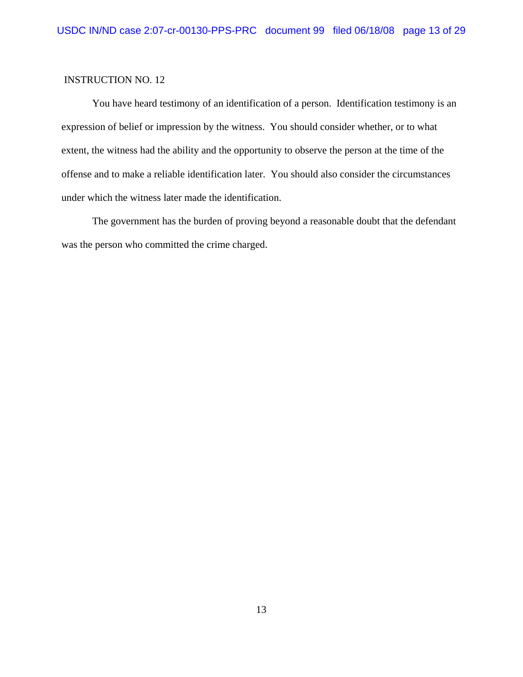You have heard testimony of an identification of a person. Identification testimony is an expression of belief or impression by the witness. You should consider whether, or to what extent, the witness had the ability and the opportunity to observe the person at the time of the offense and to make a reliable identification later. You should also consider the circumstances under which the witness later made the identification.

The government has the burden of proving beyond a reasonable doubt that the defendant was the person who committed the crime charged.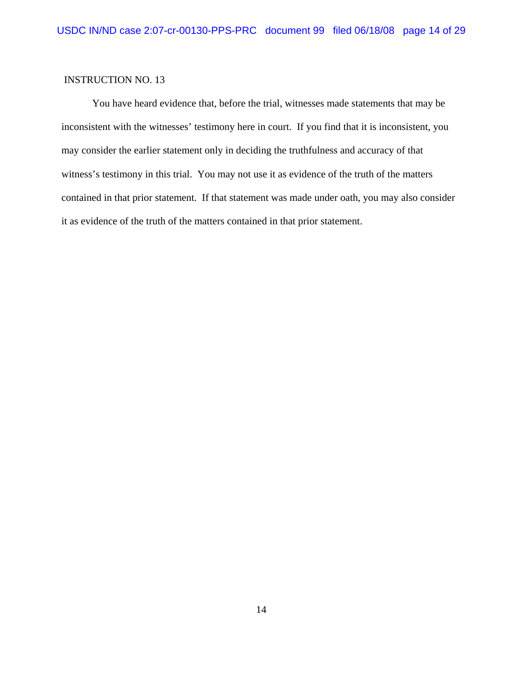You have heard evidence that, before the trial, witnesses made statements that may be inconsistent with the witnesses' testimony here in court. If you find that it is inconsistent, you may consider the earlier statement only in deciding the truthfulness and accuracy of that witness's testimony in this trial. You may not use it as evidence of the truth of the matters contained in that prior statement. If that statement was made under oath, you may also consider it as evidence of the truth of the matters contained in that prior statement.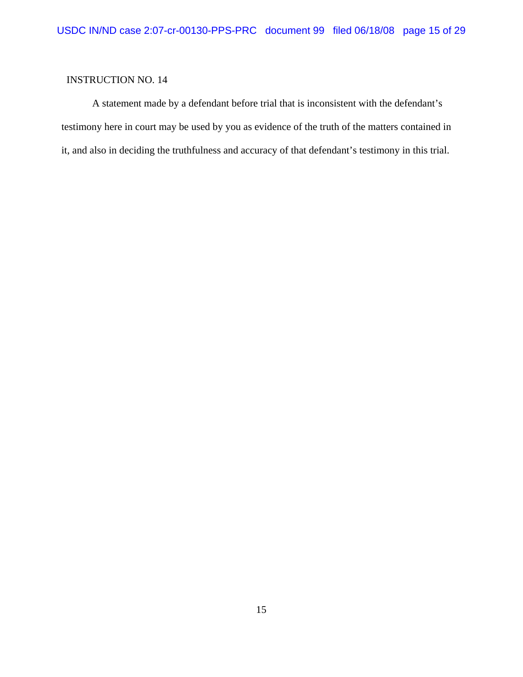A statement made by a defendant before trial that is inconsistent with the defendant's testimony here in court may be used by you as evidence of the truth of the matters contained in it, and also in deciding the truthfulness and accuracy of that defendant's testimony in this trial.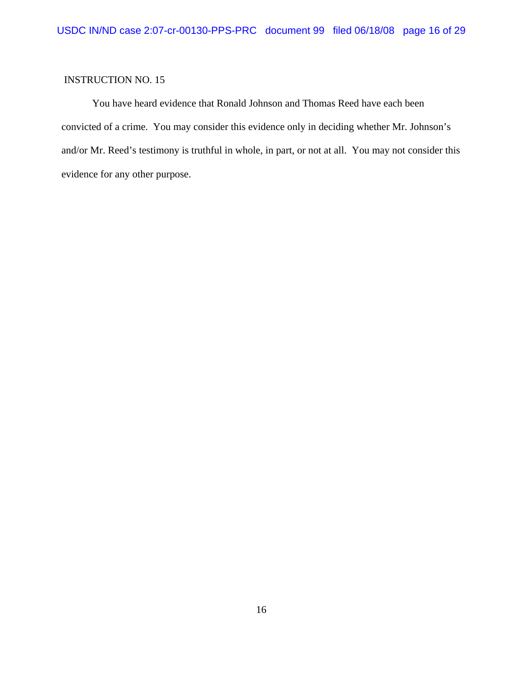You have heard evidence that Ronald Johnson and Thomas Reed have each been convicted of a crime. You may consider this evidence only in deciding whether Mr. Johnson's and/or Mr. Reed's testimony is truthful in whole, in part, or not at all. You may not consider this evidence for any other purpose.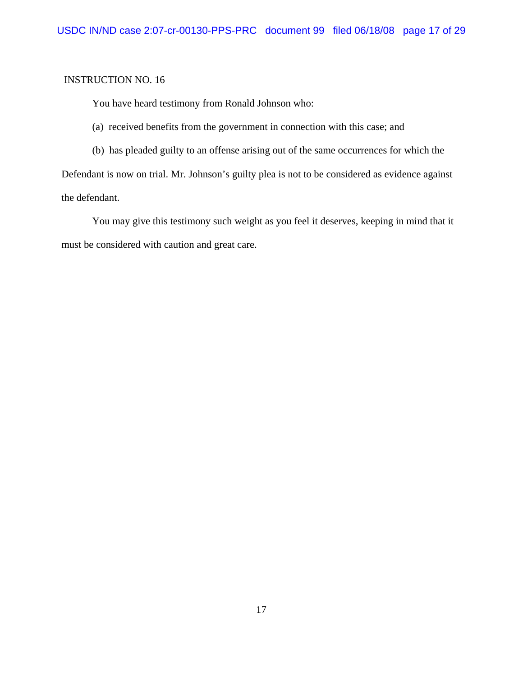You have heard testimony from Ronald Johnson who:

(a) received benefits from the government in connection with this case; and

(b) has pleaded guilty to an offense arising out of the same occurrences for which the

Defendant is now on trial. Mr. Johnson's guilty plea is not to be considered as evidence against the defendant.

You may give this testimony such weight as you feel it deserves, keeping in mind that it must be considered with caution and great care.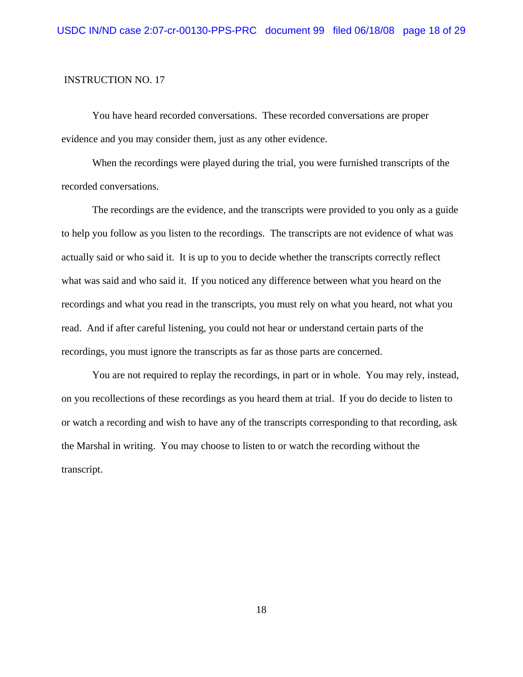You have heard recorded conversations. These recorded conversations are proper evidence and you may consider them, just as any other evidence.

When the recordings were played during the trial, you were furnished transcripts of the recorded conversations.

The recordings are the evidence, and the transcripts were provided to you only as a guide to help you follow as you listen to the recordings. The transcripts are not evidence of what was actually said or who said it. It is up to you to decide whether the transcripts correctly reflect what was said and who said it. If you noticed any difference between what you heard on the recordings and what you read in the transcripts, you must rely on what you heard, not what you read. And if after careful listening, you could not hear or understand certain parts of the recordings, you must ignore the transcripts as far as those parts are concerned.

You are not required to replay the recordings, in part or in whole. You may rely, instead, on you recollections of these recordings as you heard them at trial. If you do decide to listen to or watch a recording and wish to have any of the transcripts corresponding to that recording, ask the Marshal in writing. You may choose to listen to or watch the recording without the transcript.

18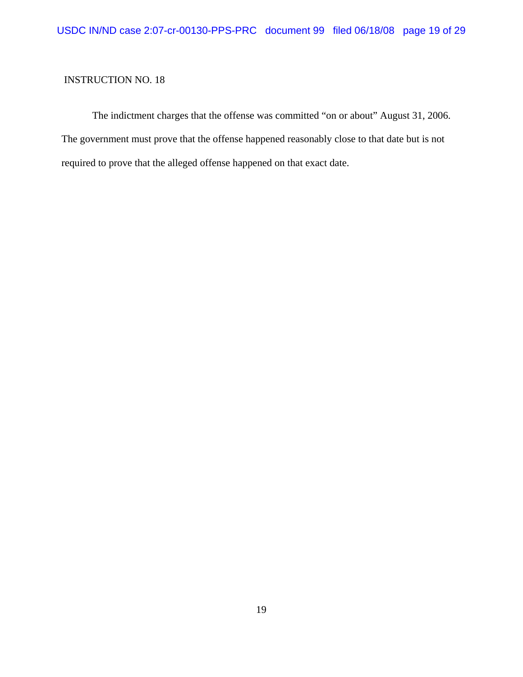The indictment charges that the offense was committed "on or about" August 31, 2006. The government must prove that the offense happened reasonably close to that date but is not required to prove that the alleged offense happened on that exact date.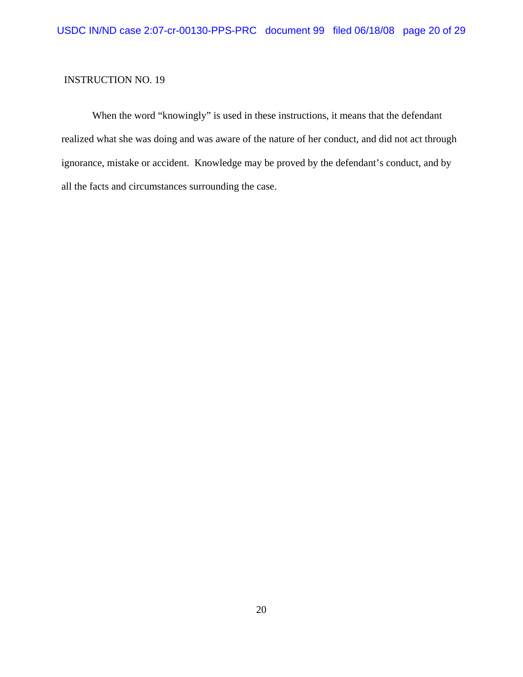When the word "knowingly" is used in these instructions, it means that the defendant realized what she was doing and was aware of the nature of her conduct, and did not act through ignorance, mistake or accident. Knowledge may be proved by the defendant's conduct, and by all the facts and circumstances surrounding the case.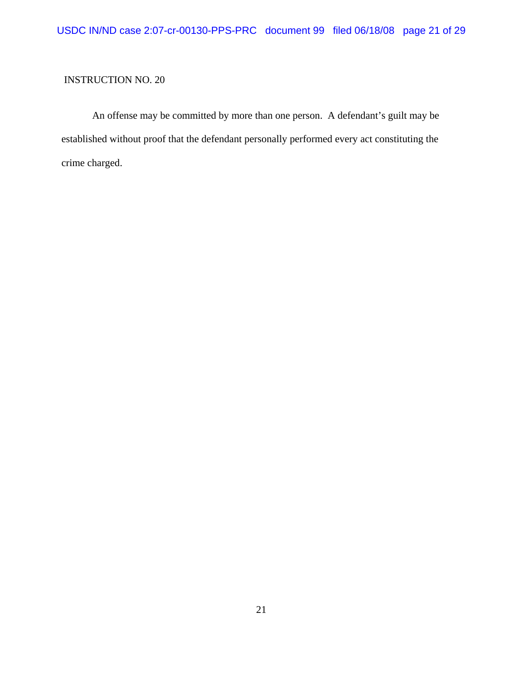An offense may be committed by more than one person. A defendant's guilt may be established without proof that the defendant personally performed every act constituting the crime charged.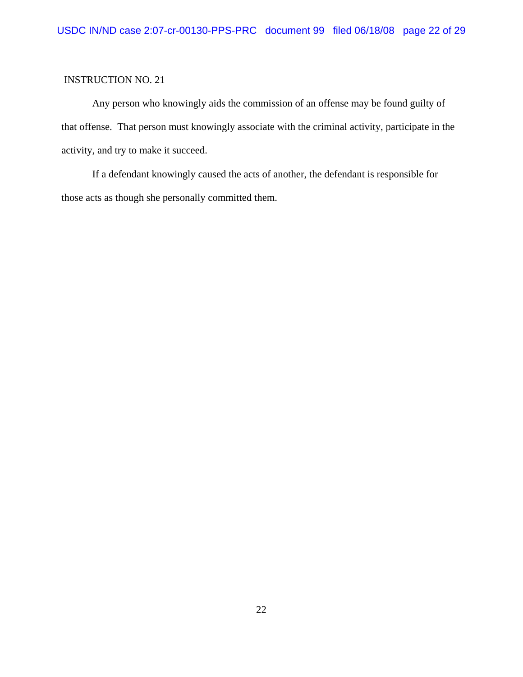Any person who knowingly aids the commission of an offense may be found guilty of that offense. That person must knowingly associate with the criminal activity, participate in the activity, and try to make it succeed.

If a defendant knowingly caused the acts of another, the defendant is responsible for those acts as though she personally committed them.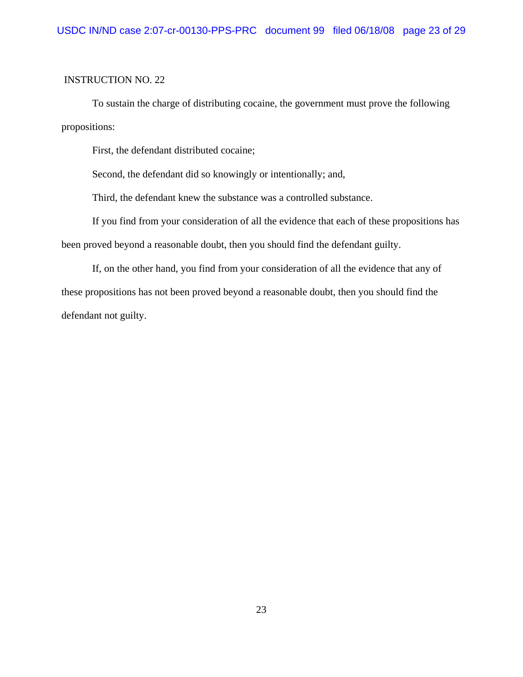To sustain the charge of distributing cocaine, the government must prove the following propositions:

First, the defendant distributed cocaine;

Second, the defendant did so knowingly or intentionally; and,

Third, the defendant knew the substance was a controlled substance.

If you find from your consideration of all the evidence that each of these propositions has been proved beyond a reasonable doubt, then you should find the defendant guilty.

If, on the other hand, you find from your consideration of all the evidence that any of these propositions has not been proved beyond a reasonable doubt, then you should find the defendant not guilty.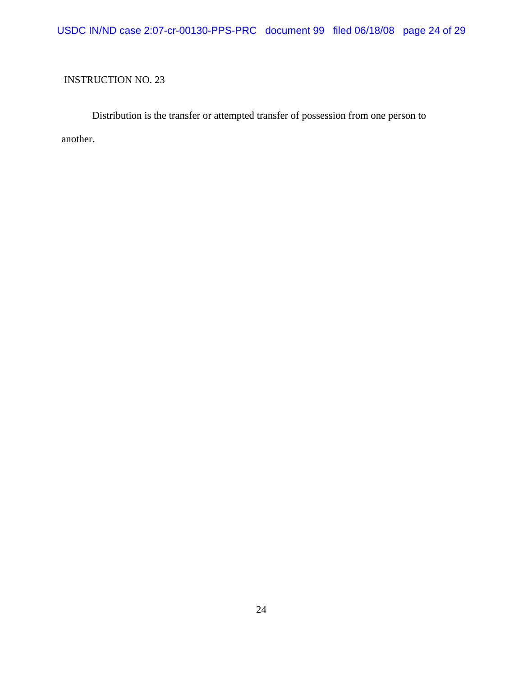USDC IN/ND case 2:07-cr-00130-PPS-PRC document 99 filed 06/18/08 page 24 of 29

## INSTRUCTION NO. 23

Distribution is the transfer or attempted transfer of possession from one person to another.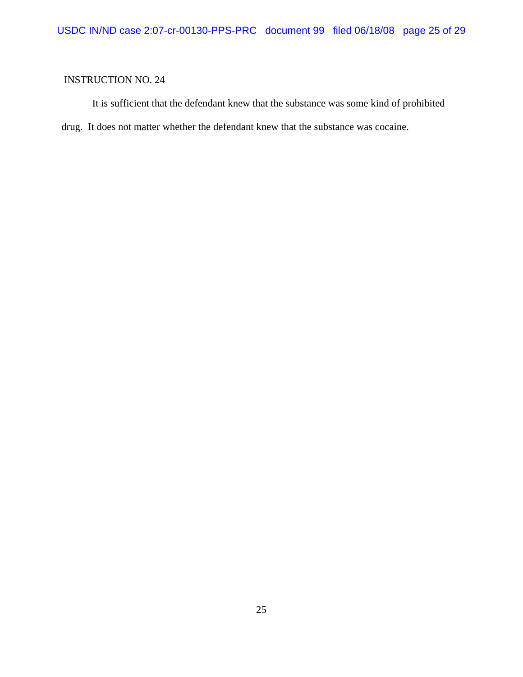It is sufficient that the defendant knew that the substance was some kind of prohibited drug. It does not matter whether the defendant knew that the substance was cocaine.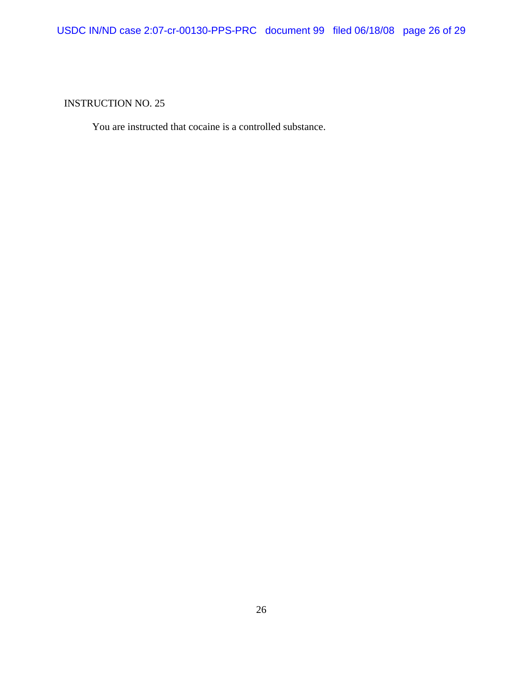You are instructed that cocaine is a controlled substance.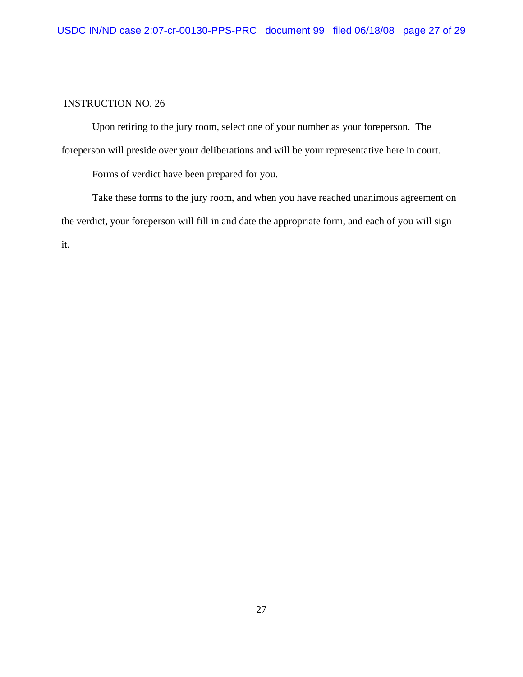Upon retiring to the jury room, select one of your number as your foreperson. The foreperson will preside over your deliberations and will be your representative here in court.

Forms of verdict have been prepared for you.

Take these forms to the jury room, and when you have reached unanimous agreement on the verdict, your foreperson will fill in and date the appropriate form, and each of you will sign it.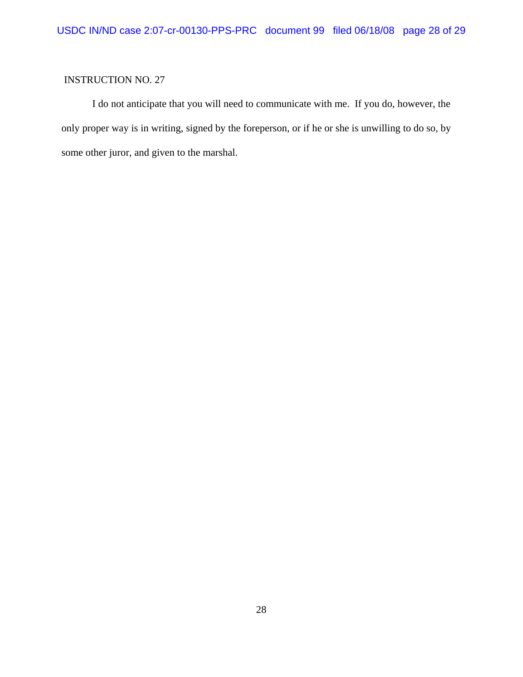I do not anticipate that you will need to communicate with me. If you do, however, the only proper way is in writing, signed by the foreperson, or if he or she is unwilling to do so, by some other juror, and given to the marshal.